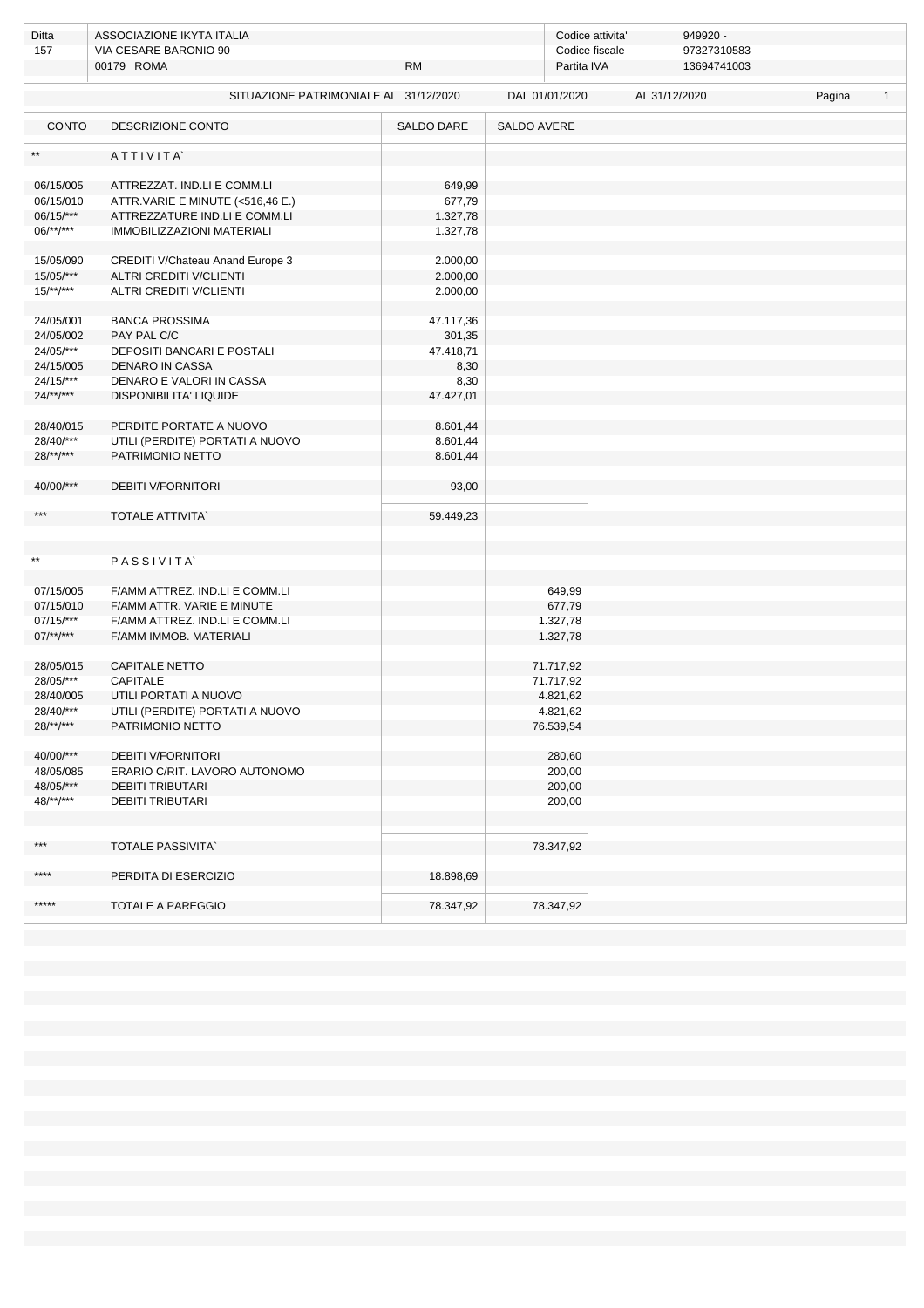| Ditta<br>157 | ASSOCIAZIONE IKYTA ITALIA<br>VIA CESARE BARONIO 90 |            |             | 949920 -<br>Codice attivita'<br>97327310583<br>Codice fiscale |               |             |        |              |  |
|--------------|----------------------------------------------------|------------|-------------|---------------------------------------------------------------|---------------|-------------|--------|--------------|--|
|              | 00179 ROMA                                         | <b>RM</b>  |             | Partita IVA                                                   |               | 13694741003 |        |              |  |
|              |                                                    |            |             |                                                               |               |             |        |              |  |
|              | SITUAZIONE PATRIMONIALE AL 31/12/2020              |            |             | DAL 01/01/2020                                                | AL 31/12/2020 |             | Pagina | $\mathbf{1}$ |  |
| <b>CONTO</b> | DESCRIZIONE CONTO                                  | SALDO DARE | SALDO AVERE |                                                               |               |             |        |              |  |
| $\star\star$ | ATTIVITA                                           |            |             |                                                               |               |             |        |              |  |
| 06/15/005    | ATTREZZAT. IND.LI E COMM.LI                        | 649,99     |             |                                                               |               |             |        |              |  |
| 06/15/010    | ATTR.VARIE E MINUTE (<516,46 E.)                   | 677,79     |             |                                                               |               |             |        |              |  |
| 06/15/***    | ATTREZZATURE IND.LI E COMM.LI                      | 1.327,78   |             |                                                               |               |             |        |              |  |
| $06$ /**/*** | <b>IMMOBILIZZAZIONI MATERIALI</b>                  | 1.327,78   |             |                                                               |               |             |        |              |  |
|              |                                                    |            |             |                                                               |               |             |        |              |  |
| 15/05/090    | CREDITI V/Chateau Anand Europe 3                   | 2.000,00   |             |                                                               |               |             |        |              |  |
| 15/05/***    | <b>ALTRI CREDITI V/CLIENTI</b>                     | 2.000,00   |             |                                                               |               |             |        |              |  |
| $15/**/***$  | <b>ALTRI CREDITI V/CLIENTI</b>                     | 2.000,00   |             |                                                               |               |             |        |              |  |
|              |                                                    |            |             |                                                               |               |             |        |              |  |
| 24/05/001    | <b>BANCA PROSSIMA</b>                              | 47.117,36  |             |                                                               |               |             |        |              |  |
| 24/05/002    | PAY PAL C/C                                        | 301,35     |             |                                                               |               |             |        |              |  |
| 24/05/***    | DEPOSITI BANCARI E POSTALI                         | 47.418,71  |             |                                                               |               |             |        |              |  |
| 24/15/005    | DENARO IN CASSA                                    | 8,30       |             |                                                               |               |             |        |              |  |
| $24/15$ /*** | DENARO E VALORI IN CASSA                           | 8,30       |             |                                                               |               |             |        |              |  |
| $24/**/***$  | DISPONIBILITA' LIQUIDE                             | 47.427,01  |             |                                                               |               |             |        |              |  |
|              |                                                    |            |             |                                                               |               |             |        |              |  |
| 28/40/015    | PERDITE PORTATE A NUOVO                            | 8.601,44   |             |                                                               |               |             |        |              |  |
| 28/40/***    | UTILI (PERDITE) PORTATI A NUOVO                    | 8.601,44   |             |                                                               |               |             |        |              |  |
| $28$ /**/*** | PATRIMONIO NETTO                                   | 8.601,44   |             |                                                               |               |             |        |              |  |
|              |                                                    |            |             |                                                               |               |             |        |              |  |
| 40/00/***    | <b>DEBITI V/FORNITORI</b>                          | 93,00      |             |                                                               |               |             |        |              |  |
| ***          | <b>TOTALE ATTIVITA</b>                             |            |             |                                                               |               |             |        |              |  |
|              |                                                    | 59.449,23  |             |                                                               |               |             |        |              |  |
|              |                                                    |            |             |                                                               |               |             |        |              |  |
| $\star\star$ | PASSIVITA`                                         |            |             |                                                               |               |             |        |              |  |
|              |                                                    |            |             |                                                               |               |             |        |              |  |
| 07/15/005    | F/AMM ATTREZ. IND.LI E COMM.LI                     |            |             | 649,99                                                        |               |             |        |              |  |
| 07/15/010    | F/AMM ATTR. VARIE E MINUTE                         |            |             | 677,79                                                        |               |             |        |              |  |
| $07/15$ /*** | F/AMM ATTREZ. IND.LI E COMM.LI                     |            |             | 1.327,78                                                      |               |             |        |              |  |
| $07$ /**/*** | F/AMM IMMOB. MATERIALI                             |            |             | 1.327,78                                                      |               |             |        |              |  |
|              |                                                    |            |             |                                                               |               |             |        |              |  |
| 28/05/015    | <b>CAPITALE NETTO</b>                              |            |             | 71.717,92                                                     |               |             |        |              |  |
| 28/05/***    | <b>CAPITALE</b>                                    |            |             | 71.717,92                                                     |               |             |        |              |  |
| 28/40/005    | UTILI PORTATI A NUOVO                              |            |             | 4.821,62                                                      |               |             |        |              |  |
| 28/40/***    | UTILI (PERDITE) PORTATI A NUOVO                    |            |             | 4.821,62                                                      |               |             |        |              |  |
| $28/**/***$  | PATRIMONIO NETTO                                   |            |             | 76.539,54                                                     |               |             |        |              |  |
|              |                                                    |            |             |                                                               |               |             |        |              |  |
| 40/00/***    | <b>DEBITI V/FORNITORI</b>                          |            |             | 280,60                                                        |               |             |        |              |  |
| 48/05/085    | ERARIO C/RIT. LAVORO AUTONOMO                      |            |             | 200,00                                                        |               |             |        |              |  |
| 48/05/***    | <b>DEBITI TRIBUTARI</b>                            |            |             | 200,00                                                        |               |             |        |              |  |
| $48$ /**/*** | <b>DEBITI TRIBUTARI</b>                            |            |             | 200,00                                                        |               |             |        |              |  |
|              |                                                    |            |             |                                                               |               |             |        |              |  |
|              |                                                    |            |             |                                                               |               |             |        |              |  |
| $***$        | <b>TOTALE PASSIVITA</b>                            |            |             | 78.347,92                                                     |               |             |        |              |  |
|              |                                                    |            |             |                                                               |               |             |        |              |  |
| ****         | PERDITA DI ESERCIZIO                               | 18.898,69  |             |                                                               |               |             |        |              |  |
| *****        |                                                    |            |             |                                                               |               |             |        |              |  |
|              | TOTALE A PAREGGIO                                  | 78.347,92  |             | 78.347,92                                                     |               |             |        |              |  |
|              |                                                    |            |             |                                                               |               |             |        |              |  |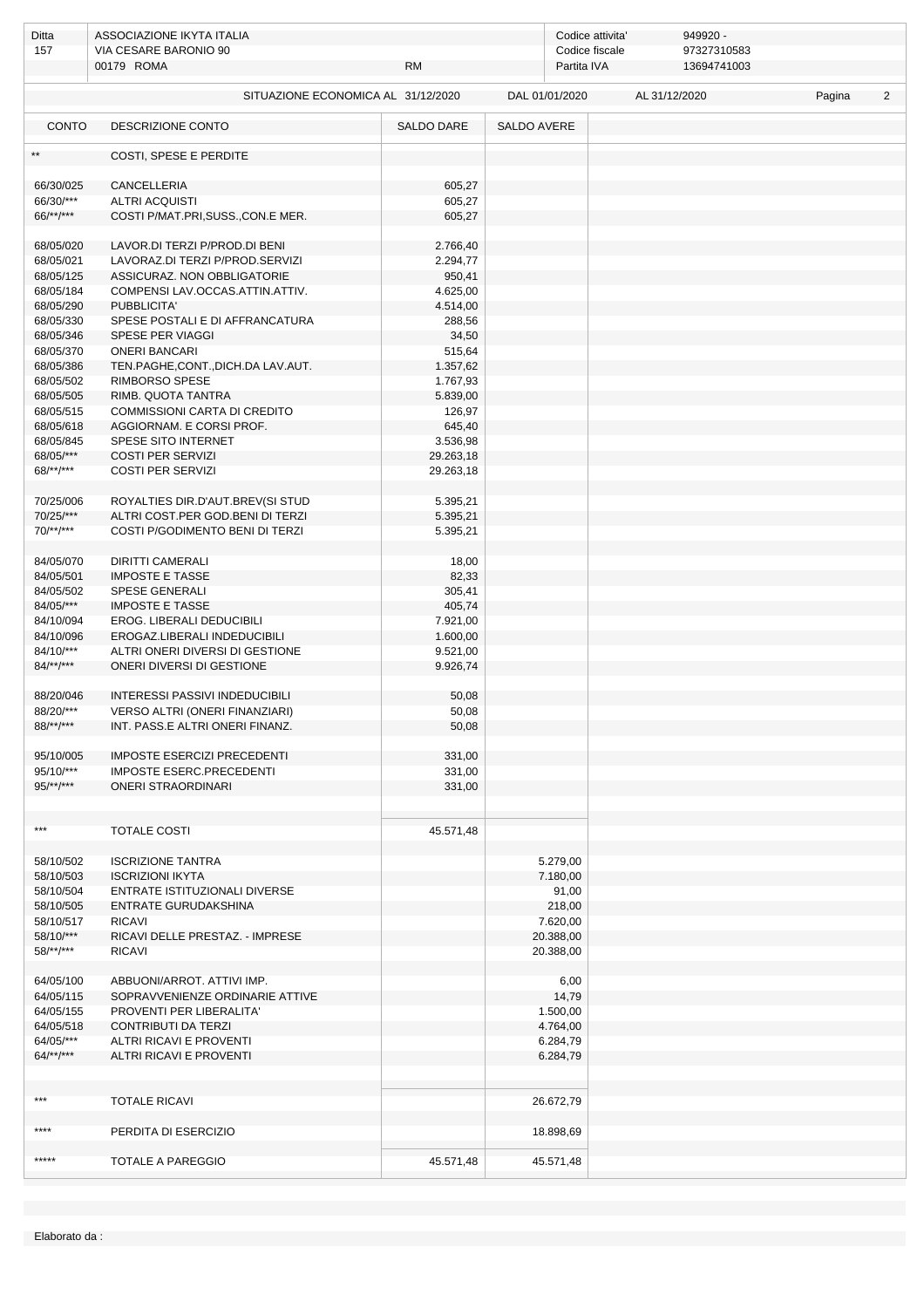| Ditta<br>157              | ASSOCIAZIONE IKYTA ITALIA<br>VIA CESARE BARONIO 90            |                  |             | 949920 -<br>Codice attivita'<br>97327310583<br>Codice fiscale |               |             |        |                |
|---------------------------|---------------------------------------------------------------|------------------|-------------|---------------------------------------------------------------|---------------|-------------|--------|----------------|
|                           | 00179 ROMA                                                    | <b>RM</b>        |             | Partita IVA                                                   |               | 13694741003 |        |                |
|                           | SITUAZIONE ECONOMICA AL 31/12/2020                            |                  |             | DAL 01/01/2020                                                | AL 31/12/2020 |             | Pagina | $\overline{2}$ |
| <b>CONTO</b>              | DESCRIZIONE CONTO                                             | SALDO DARE       | SALDO AVERE |                                                               |               |             |        |                |
| $\star\star$              | COSTI, SPESE E PERDITE                                        |                  |             |                                                               |               |             |        |                |
| 66/30/025                 | CANCELLERIA                                                   | 605,27           |             |                                                               |               |             |        |                |
| 66/30/***                 | <b>ALTRI ACQUISTI</b>                                         | 605,27           |             |                                                               |               |             |        |                |
| 66/**/***                 | COSTI P/MAT.PRI, SUSS., CON.E MER.                            | 605,27           |             |                                                               |               |             |        |                |
| 68/05/020                 | LAVOR.DI TERZI P/PROD.DI BENI                                 | 2.766,40         |             |                                                               |               |             |        |                |
| 68/05/021                 | LAVORAZ.DI TERZI P/PROD.SERVIZI                               | 2.294,77         |             |                                                               |               |             |        |                |
| 68/05/125                 | ASSICURAZ. NON OBBLIGATORIE                                   | 950,41           |             |                                                               |               |             |        |                |
| 68/05/184                 | COMPENSI LAV.OCCAS.ATTIN.ATTIV.                               | 4.625,00         |             |                                                               |               |             |        |                |
| 68/05/290                 | PUBBLICITA'                                                   | 4.514,00         |             |                                                               |               |             |        |                |
| 68/05/330                 | SPESE POSTALI E DI AFFRANCATURA                               | 288,56           |             |                                                               |               |             |        |                |
| 68/05/346                 | SPESE PER VIAGGI                                              | 34,50            |             |                                                               |               |             |        |                |
| 68/05/370                 | <b>ONERI BANCARI</b>                                          | 515,64           |             |                                                               |               |             |        |                |
| 68/05/386                 | TEN.PAGHE,CONT.,DICH.DA LAV.AUT.                              | 1.357,62         |             |                                                               |               |             |        |                |
| 68/05/502                 | RIMBORSO SPESE                                                | 1.767,93         |             |                                                               |               |             |        |                |
| 68/05/505                 | RIMB. QUOTA TANTRA                                            | 5.839,00         |             |                                                               |               |             |        |                |
| 68/05/515                 | <b>COMMISSIONI CARTA DI CREDITO</b>                           | 126,97           |             |                                                               |               |             |        |                |
| 68/05/618                 | AGGIORNAM. E CORSI PROF.                                      | 645,40           |             |                                                               |               |             |        |                |
| 68/05/845                 | SPESE SITO INTERNET                                           | 3.536,98         |             |                                                               |               |             |        |                |
| 68/05/***                 | <b>COSTI PER SERVIZI</b><br><b>COSTI PER SERVIZI</b>          | 29.263,18        |             |                                                               |               |             |        |                |
| $68$ /**/***              |                                                               | 29.263,18        |             |                                                               |               |             |        |                |
| 70/25/006                 | ROYALTIES DIR.D'AUT.BREV(SI STUD                              | 5.395,21         |             |                                                               |               |             |        |                |
| 70/25/***                 | ALTRI COST.PER GOD.BENI DI TERZI                              | 5.395,21         |             |                                                               |               |             |        |                |
| $70$ /**/***              | COSTI P/GODIMENTO BENI DI TERZI                               | 5.395,21         |             |                                                               |               |             |        |                |
| 84/05/070                 | <b>DIRITTI CAMERALI</b>                                       | 18,00            |             |                                                               |               |             |        |                |
| 84/05/501                 | <b>IMPOSTE E TASSE</b>                                        | 82,33            |             |                                                               |               |             |        |                |
| 84/05/502                 | <b>SPESE GENERALI</b>                                         | 305,41           |             |                                                               |               |             |        |                |
| 84/05/***                 | <b>IMPOSTE E TASSE</b>                                        | 405,74           |             |                                                               |               |             |        |                |
| 84/10/094                 | EROG. LIBERALI DEDUCIBILI                                     | 7.921,00         |             |                                                               |               |             |        |                |
| 84/10/096                 | EROGAZ.LIBERALI INDEDUCIBILI                                  | 1.600,00         |             |                                                               |               |             |        |                |
| 84/10/***<br>$84$ /**/*** | ALTRI ONERI DIVERSI DI GESTIONE<br>ONERI DIVERSI DI GESTIONE  | 9.521,00         |             |                                                               |               |             |        |                |
|                           |                                                               | 9.926,74         |             |                                                               |               |             |        |                |
| 88/20/046                 | <b>INTERESSI PASSIVI INDEDUCIBILI</b>                         | 50,08            |             |                                                               |               |             |        |                |
| 88/20/***                 | VERSO ALTRI (ONERI FINANZIARI)                                | 50,08            |             |                                                               |               |             |        |                |
| 88/**/***                 | INT. PASS.E ALTRI ONERI FINANZ.                               | 50,08            |             |                                                               |               |             |        |                |
|                           |                                                               |                  |             |                                                               |               |             |        |                |
| 95/10/005<br>$95/10$ /*** | <b>IMPOSTE ESERCIZI PRECEDENTI</b>                            | 331,00           |             |                                                               |               |             |        |                |
| $95/**/***$               | IMPOSTE ESERC.PRECEDENTI<br><b>ONERI STRAORDINARI</b>         | 331,00<br>331,00 |             |                                                               |               |             |        |                |
|                           |                                                               |                  |             |                                                               |               |             |        |                |
|                           |                                                               |                  |             |                                                               |               |             |        |                |
| $***$                     | <b>TOTALE COSTI</b>                                           | 45.571,48        |             |                                                               |               |             |        |                |
|                           |                                                               |                  |             |                                                               |               |             |        |                |
| 58/10/502                 | <b>ISCRIZIONE TANTRA</b>                                      |                  |             | 5.279,00                                                      |               |             |        |                |
| 58/10/503                 | <b>ISCRIZIONI IKYTA</b><br>ENTRATE ISTITUZIONALI DIVERSE      |                  |             | 7.180,00                                                      |               |             |        |                |
| 58/10/504<br>58/10/505    | ENTRATE GURUDAKSHINA                                          |                  |             | 91,00<br>218,00                                               |               |             |        |                |
| 58/10/517                 | <b>RICAVI</b>                                                 |                  |             | 7.620,00                                                      |               |             |        |                |
| 58/10/***                 | RICAVI DELLE PRESTAZ. - IMPRESE                               |                  |             | 20.388,00                                                     |               |             |        |                |
| 58/**/***                 | <b>RICAVI</b>                                                 |                  |             | 20.388,00                                                     |               |             |        |                |
|                           |                                                               |                  |             |                                                               |               |             |        |                |
| 64/05/100<br>64/05/115    | ABBUONI/ARROT. ATTIVI IMP.<br>SOPRAVVENIENZE ORDINARIE ATTIVE |                  |             | 6,00<br>14,79                                                 |               |             |        |                |
| 64/05/155                 | PROVENTI PER LIBERALITA'                                      |                  |             | 1.500,00                                                      |               |             |        |                |
| 64/05/518                 | <b>CONTRIBUTI DA TERZI</b>                                    |                  |             | 4.764,00                                                      |               |             |        |                |
| 64/05/***                 | ALTRI RICAVI E PROVENTI                                       |                  |             | 6.284,79                                                      |               |             |        |                |
| $64$ /**/***              | ALTRI RICAVI E PROVENTI                                       |                  |             | 6.284,79                                                      |               |             |        |                |
|                           |                                                               |                  |             |                                                               |               |             |        |                |
| ***                       | <b>TOTALE RICAVI</b>                                          |                  |             | 26.672,79                                                     |               |             |        |                |
| ****                      |                                                               |                  |             |                                                               |               |             |        |                |
|                           | PERDITA DI ESERCIZIO                                          |                  |             | 18.898,69                                                     |               |             |        |                |
| *****                     | TOTALE A PAREGGIO                                             | 45.571,48        |             | 45.571,48                                                     |               |             |        |                |